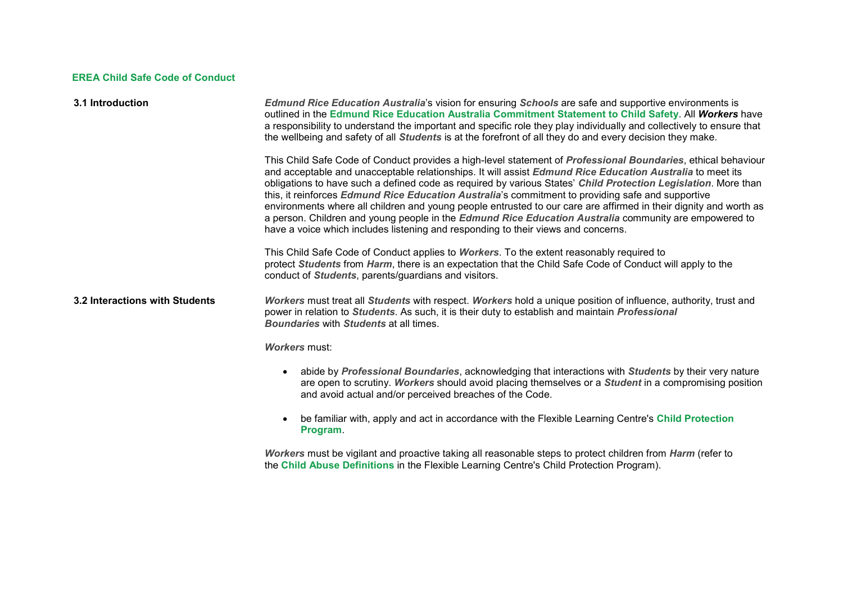## **EREA Child Safe Code of Conduct**

| 3.1 Introduction               | Edmund Rice Education Australia's vision for ensuring Schools are safe and supportive environments is<br>outlined in the Edmund Rice Education Australia Commitment Statement to Child Safety. All Workers have<br>a responsibility to understand the important and specific role they play individually and collectively to ensure that<br>the wellbeing and safety of all Students is at the forefront of all they do and every decision they make.                                                                                                                                                                                                                                                                                                                       |
|--------------------------------|-----------------------------------------------------------------------------------------------------------------------------------------------------------------------------------------------------------------------------------------------------------------------------------------------------------------------------------------------------------------------------------------------------------------------------------------------------------------------------------------------------------------------------------------------------------------------------------------------------------------------------------------------------------------------------------------------------------------------------------------------------------------------------|
|                                | This Child Safe Code of Conduct provides a high-level statement of Professional Boundaries, ethical behaviour<br>and acceptable and unacceptable relationships. It will assist Edmund Rice Education Australia to meet its<br>obligations to have such a defined code as required by various States' Child Protection Legislation. More than<br>this, it reinforces Edmund Rice Education Australia's commitment to providing safe and supportive<br>environments where all children and young people entrusted to our care are affirmed in their dignity and worth as<br>a person. Children and young people in the <i>Edmund Rice Education Australia</i> community are empowered to<br>have a voice which includes listening and responding to their views and concerns. |
|                                | This Child Safe Code of Conduct applies to Workers. To the extent reasonably required to<br>protect Students from Harm, there is an expectation that the Child Safe Code of Conduct will apply to the<br>conduct of <i>Students</i> , parents/guardians and visitors.                                                                                                                                                                                                                                                                                                                                                                                                                                                                                                       |
| 3.2 Interactions with Students | Workers must treat all Students with respect. Workers hold a unique position of influence, authority, trust and<br>power in relation to Students. As such, it is their duty to establish and maintain Professional<br><b>Boundaries with Students at all times.</b>                                                                                                                                                                                                                                                                                                                                                                                                                                                                                                         |
|                                | <b>Workers must:</b>                                                                                                                                                                                                                                                                                                                                                                                                                                                                                                                                                                                                                                                                                                                                                        |
|                                | abide by Professional Boundaries, acknowledging that interactions with Students by their very nature<br>are open to scrutiny. Workers should avoid placing themselves or a Student in a compromising position<br>and avoid actual and/or perceived breaches of the Code.                                                                                                                                                                                                                                                                                                                                                                                                                                                                                                    |
|                                | be familiar with, apply and act in accordance with the Flexible Learning Centre's Child Protection<br>Program.                                                                                                                                                                                                                                                                                                                                                                                                                                                                                                                                                                                                                                                              |
|                                | Workers must be vigilant and proactive taking all reasonable steps to protect children from <i>Harm</i> (refer to                                                                                                                                                                                                                                                                                                                                                                                                                                                                                                                                                                                                                                                           |

the **[Child Abuse Definitions](https://wollongongflc.cspace.net.au/ChildProtectionAbuseGroomingNeglectIdentificationInitialNotificationNSW)** in the Flexible Learning Centre's Child Protection Program).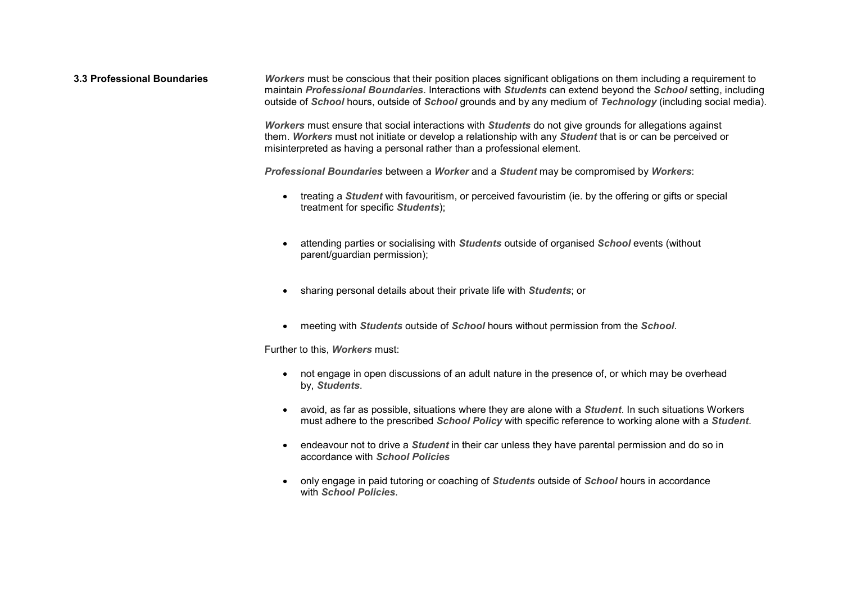**3.3 Professional Boundaries** *[Workers](https://wollongongflc.cspace.net.au/CodeofConductDefinitions)* must be conscious that their position places significant obligations on them including a requirement to maintain *[Professional Boundaries](https://wollongongflc.cspace.net.au/CodeofConductDefinitions)*. Interactions with *[Students](https://wollongongflc.cspace.net.au/CodeofConductDefinitions)* can extend beyond the *[School](https://wollongongflc.cspace.net.au/CodeofConductDefinitions)* setting, including outside of *[School](https://wollongongflc.cspace.net.au/CodeofConductDefinitions)* hours, outside of *[School](https://wollongongflc.cspace.net.au/CodeofConductDefinitions)* grounds and by any medium of *[Technology](https://wollongongflc.cspace.net.au/CodeofConductDefinitions)* (including social media).

> *[Workers](https://wollongongflc.cspace.net.au/CodeofConductDefinitions)* must ensure that social interactions with *[Students](https://wollongongflc.cspace.net.au/CodeofConductDefinitions)* do not give grounds for allegations against them. *[Workers](https://wollongongflc.cspace.net.au/CodeofConductDefinitions)* must not initiate or develop a relationship with any *[Student](https://wollongongflc.cspace.net.au/CodeofConductDefinitions)* that is or can be perceived or misinterpreted as having a personal rather than a professional element.

*[Professional Boundaries](https://wollongongflc.cspace.net.au/CodeofConductDefinitions)* between a *[Worker](https://wollongongflc.cspace.net.au/CodeofConductDefinitions)* and a *[Student](https://wollongongflc.cspace.net.au/CodeofConductDefinitions)* may be compromised by *[Workers](https://wollongongflc.cspace.net.au/CodeofConductDefinitions)*:

- treating a *[Student](https://wollongongflc.cspace.net.au/CodeofConductDefinitions)* with favouritism, or perceived favouristim (ie. by the offering or gifts or special treatment for specific *[Students](https://wollongongflc.cspace.net.au/CodeofConductDefinitions)*);
- attending parties or socialising with *[Students](https://wollongongflc.cspace.net.au/CodeofConductDefinitions)* outside of organised *School* events (without parent/guardian permission);
- sharing personal details about their private life with *[Students](https://wollongongflc.cspace.net.au/CodeofConductDefinitions)*; or
- meeting with *[Students](https://wollongongflc.cspace.net.au/CodeofConductDefinitions)* outside of *[School](https://wollongongflc.cspace.net.au/CodeofConductDefinitions)* hours without permission from the *[School](https://wollongongflc.cspace.net.au/CodeofConductDefinitions)*.

Further to this, *[Workers](https://wollongongflc.cspace.net.au/CodeofConductDefinitions)* must:

- not engage in open discussions of an adult nature in the presence of, or which may be overhead by, *[Students](https://wollongongflc.cspace.net.au/CodeofConductDefinitions)*.
- avoid, as far as possible, situations where they are alone with a *[Student](https://wollongongflc.cspace.net.au/CodeofConductDefinitions)*. In such situations Workers must adhere to the prescribed *[School Policy](https://wollongongflc.cspace.net.au/CodeofConductDefinitions)* with specific reference to working alone with a *[Student](https://wollongongflc.cspace.net.au/CodeofConductDefinitions)*.
- endeavour not to drive a *[Student](https://wollongongflc.cspace.net.au/CodeofConductDefinitions)* in their car unless they have parental permission and do so in accordance with *[School Policies](https://wollongongflc.cspace.net.au/CodeofConductDefinitions)*
- only engage in paid tutoring or coaching of *[Students](https://wollongongflc.cspace.net.au/CodeofConductDefinitions)* outside of *[School](https://wollongongflc.cspace.net.au/CodeofConductDefinitions)* hours in accordance with *[School Policies](https://wollongongflc.cspace.net.au/CodeofConductDefinitions)*.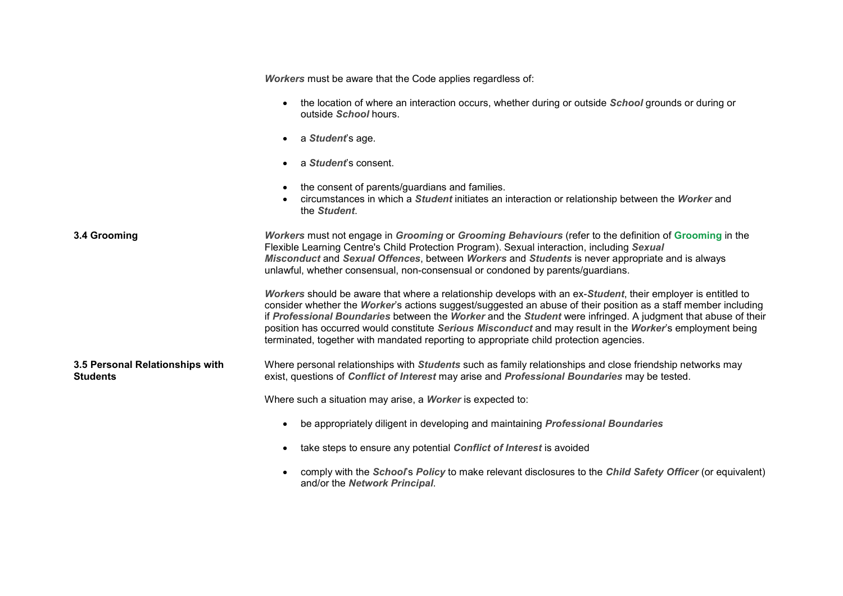|                                                    | Workers must be aware that the Code applies regardless of:                                                                                                                                                                                                                                                                                                                                                                                                                                                                                            |
|----------------------------------------------------|-------------------------------------------------------------------------------------------------------------------------------------------------------------------------------------------------------------------------------------------------------------------------------------------------------------------------------------------------------------------------------------------------------------------------------------------------------------------------------------------------------------------------------------------------------|
|                                                    | the location of where an interaction occurs, whether during or outside <i>School</i> grounds or during or<br>outside School hours.                                                                                                                                                                                                                                                                                                                                                                                                                    |
|                                                    | a Student's age.                                                                                                                                                                                                                                                                                                                                                                                                                                                                                                                                      |
|                                                    | a Student's consent.                                                                                                                                                                                                                                                                                                                                                                                                                                                                                                                                  |
|                                                    | the consent of parents/guardians and families.<br>circumstances in which a <i>Student</i> initiates an interaction or relationship between the <i>Worker</i> and<br>the Student.                                                                                                                                                                                                                                                                                                                                                                      |
| 3.4 Grooming                                       | Workers must not engage in Grooming or Grooming Behaviours (refer to the definition of Grooming in the<br>Flexible Learning Centre's Child Protection Program). Sexual interaction, including Sexual<br>Misconduct and Sexual Offences, between Workers and Students is never appropriate and is always<br>unlawful, whether consensual, non-consensual or condoned by parents/guardians.                                                                                                                                                             |
|                                                    | Workers should be aware that where a relationship develops with an ex-Student, their employer is entitled to<br>consider whether the Worker's actions suggest/suggested an abuse of their position as a staff member including<br>if Professional Boundaries between the Worker and the Student were infringed. A judgment that abuse of their<br>position has occurred would constitute Serious Misconduct and may result in the Worker's employment being<br>terminated, together with mandated reporting to appropriate child protection agencies. |
| 3.5 Personal Relationships with<br><b>Students</b> | Where personal relationships with <i>Students</i> such as family relationships and close friendship networks may<br>exist, questions of Conflict of Interest may arise and Professional Boundaries may be tested.                                                                                                                                                                                                                                                                                                                                     |
|                                                    | Where such a situation may arise, a Worker is expected to:                                                                                                                                                                                                                                                                                                                                                                                                                                                                                            |
|                                                    | be appropriately diligent in developing and maintaining <i>Professional Boundaries</i>                                                                                                                                                                                                                                                                                                                                                                                                                                                                |
|                                                    | take steps to ensure any potential Conflict of Interest is avoided                                                                                                                                                                                                                                                                                                                                                                                                                                                                                    |
|                                                    | comply with the School's Policy to make relevant disclosures to the Child Safety Officer (or equivalent)<br>and/or the Network Principal.                                                                                                                                                                                                                                                                                                                                                                                                             |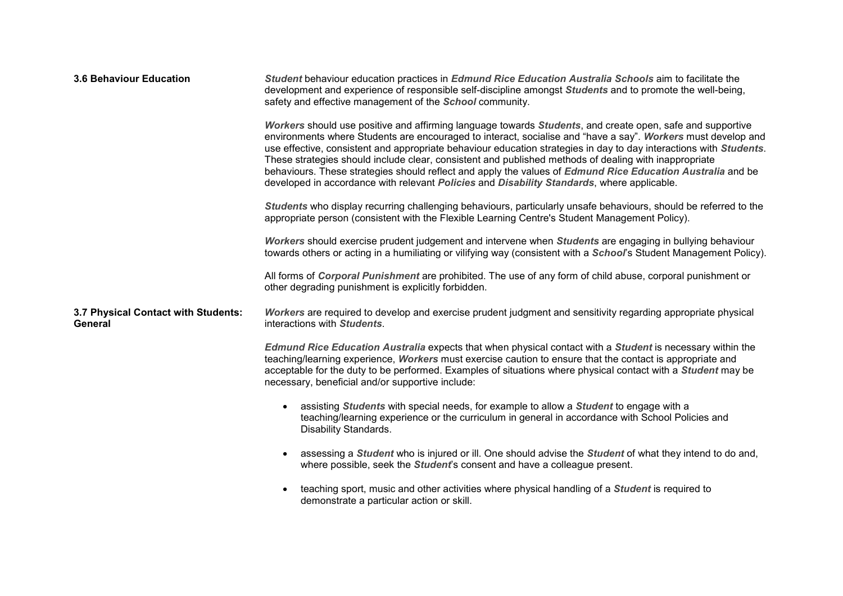| <b>3.6 Behaviour Education</b>                 | Student behaviour education practices in Edmund Rice Education Australia Schools aim to facilitate the<br>development and experience of responsible self-discipline amongst Students and to promote the well-being,<br>safety and effective management of the School community.<br>Workers should use positive and affirming language towards Students, and create open, safe and supportive<br>environments where Students are encouraged to interact, socialise and "have a say". Workers must develop and<br>use effective, consistent and appropriate behaviour education strategies in day to day interactions with Students.<br>These strategies should include clear, consistent and published methods of dealing with inappropriate<br>behaviours. These strategies should reflect and apply the values of Edmund Rice Education Australia and be<br>developed in accordance with relevant Policies and Disability Standards, where applicable.<br>Students who display recurring challenging behaviours, particularly unsafe behaviours, should be referred to the<br>appropriate person (consistent with the Flexible Learning Centre's Student Management Policy).<br>Workers should exercise prudent judgement and intervene when Students are engaging in bullying behaviour<br>towards others or acting in a humiliating or vilifying way (consistent with a School's Student Management Policy).<br>All forms of Corporal Punishment are prohibited. The use of any form of child abuse, corporal punishment or<br>other degrading punishment is explicitly forbidden. |
|------------------------------------------------|---------------------------------------------------------------------------------------------------------------------------------------------------------------------------------------------------------------------------------------------------------------------------------------------------------------------------------------------------------------------------------------------------------------------------------------------------------------------------------------------------------------------------------------------------------------------------------------------------------------------------------------------------------------------------------------------------------------------------------------------------------------------------------------------------------------------------------------------------------------------------------------------------------------------------------------------------------------------------------------------------------------------------------------------------------------------------------------------------------------------------------------------------------------------------------------------------------------------------------------------------------------------------------------------------------------------------------------------------------------------------------------------------------------------------------------------------------------------------------------------------------------------------------------------------------------------------------------|
| 3.7 Physical Contact with Students:<br>General | Workers are required to develop and exercise prudent judgment and sensitivity regarding appropriate physical<br>interactions with Students.<br>Edmund Rice Education Australia expects that when physical contact with a Student is necessary within the<br>teaching/learning experience, Workers must exercise caution to ensure that the contact is appropriate and<br>acceptable for the duty to be performed. Examples of situations where physical contact with a Student may be<br>necessary, beneficial and/or supportive include:<br>assisting Students with special needs, for example to allow a Student to engage with a<br>teaching/learning experience or the curriculum in general in accordance with School Policies and<br>Disability Standards.<br>assessing a <i>Student</i> who is injured or ill. One should advise the <i>Student</i> of what they intend to do and,<br>where possible, seek the Student's consent and have a colleague present.<br>teaching sport, music and other activities where physical handling of a <i>Student</i> is required to<br>demonstrate a particular action or skill.                                                                                                                                                                                                                                                                                                                                                                                                                                                           |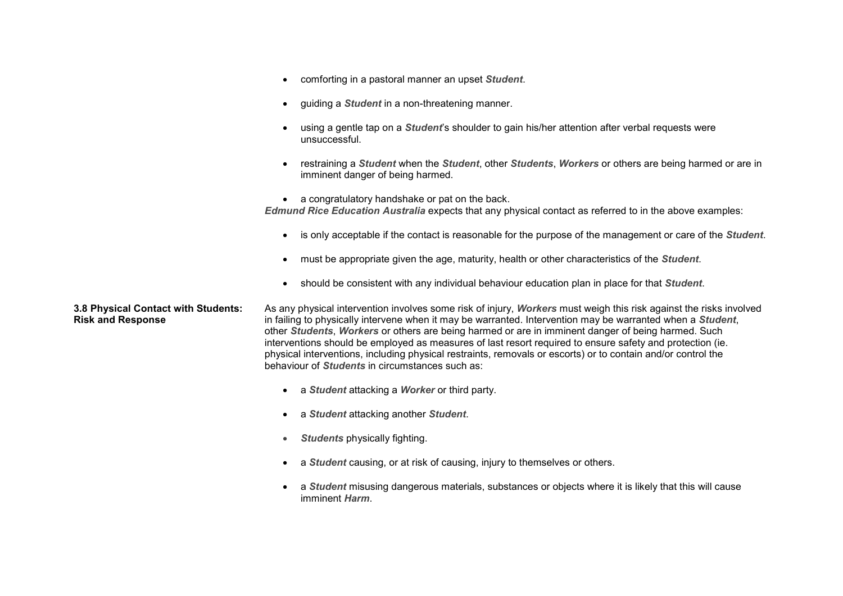- comforting in a pastoral manner an upset *[Student](https://wollongongflc.cspace.net.au/CodeofConductDefinitions)*.
- guiding a *[Student](https://wollongongflc.cspace.net.au/CodeofConductDefinitions)* in a non-threatening manner.
- using a gentle tap on a *[Student](https://wollongongflc.cspace.net.au/CodeofConductDefinitions)*'s shoulder to gain his/her attention after verbal requests were unsuccessful.
- restraining a *[Student](https://wollongongflc.cspace.net.au/CodeofConductDefinitions)* when the *[Student](https://wollongongflc.cspace.net.au/CodeofConductDefinitions)*, other *[Students](https://wollongongflc.cspace.net.au/CodeofConductDefinitions)*, *[Workers](https://wollongongflc.cspace.net.au/CodeofConductDefinitions)* or others are being harmed or are in imminent danger of being harmed.

• a congratulatory handshake or pat on the back. *[Edmund Rice Education Australia](https://wollongongflc.cspace.net.au/CodeofConductDefinitions)* expects that any physical contact as referred to in the above examples:

- is only acceptable if the contact is reasonable for the purpose of the management or care of the *[Student](https://wollongongflc.cspace.net.au/CodeofConductDefinitions)*.
- must be appropriate given the age, maturity, health or other characteristics of the *[Student](https://wollongongflc.cspace.net.au/CodeofConductDefinitions)*.
- should be consistent with any individual behaviour education plan in place for that *[Student](https://wollongongflc.cspace.net.au/CodeofConductDefinitions)*.

## **3.8 Physical Contact with Students: Risk and Response**

As any physical intervention involves some risk of injury, *[Workers](https://wollongongflc.cspace.net.au/CodeofConductDefinitions)* must weigh this risk against the risks involved in failing to physically intervene when it may be warranted. Intervention may be warranted when a *[Student](https://wollongongflc.cspace.net.au/CodeofConductDefinitions)*, other *[Students](https://wollongongflc.cspace.net.au/CodeofConductDefinitions)*, *[Workers](https://wollongongflc.cspace.net.au/CodeofConductDefinitions)* or others are being harmed or are in imminent danger of being harmed. Such interventions should be employed as measures of last resort required to ensure safety and protection (ie. physical interventions, including physical restraints, removals or escorts) or to contain and/or control the behaviour of *[Students](https://wollongongflc.cspace.net.au/CodeofConductDefinitions)* in circumstances such as:

- a *[Student](https://wollongongflc.cspace.net.au/CodeofConductDefinitions)* attacking a *[Worker](https://wollongongflc.cspace.net.au/CodeofConductDefinitions)* or third party.
- a *[Student](https://wollongongflc.cspace.net.au/CodeofConductDefinitions)* attacking another *[Student](https://wollongongflc.cspace.net.au/CodeofConductDefinitions)*.
- *[Students](https://wollongongflc.cspace.net.au/CodeofConductDefinitions)* physically fighting.
- a *[Student](https://wollongongflc.cspace.net.au/CodeofConductDefinitions)* causing, or at risk of causing, injury to themselves or others.
- a *[Student](https://wollongongflc.cspace.net.au/CodeofConductDefinitions)* misusing dangerous materials, substances or objects where it is likely that this will cause imminent *[Harm](https://wollongongflc.cspace.net.au/CodeofConductDefinitions)*.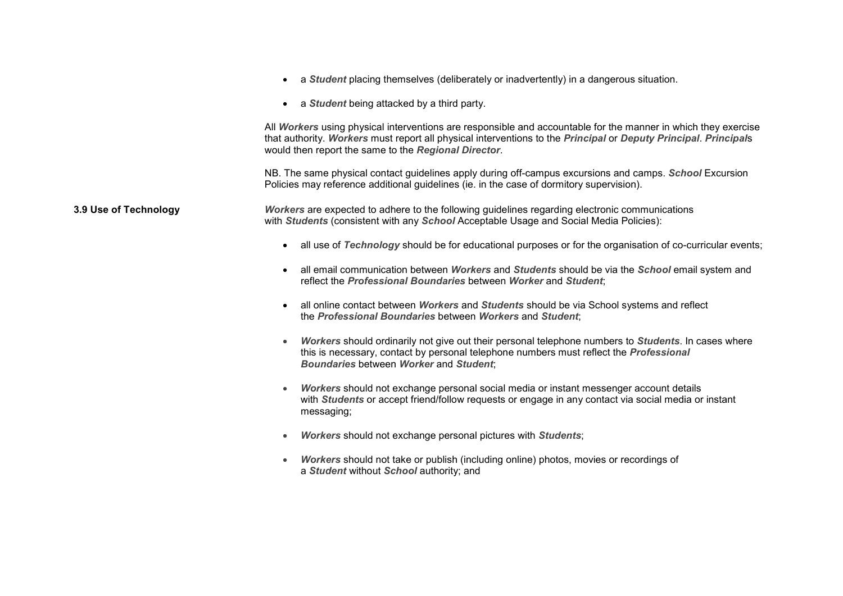|                       | a Student placing themselves (deliberately or inadvertently) in a dangerous situation.                                                                                                                                                                                                    |
|-----------------------|-------------------------------------------------------------------------------------------------------------------------------------------------------------------------------------------------------------------------------------------------------------------------------------------|
|                       | a Student being attacked by a third party.<br>$\bullet$                                                                                                                                                                                                                                   |
|                       | All Workers using physical interventions are responsible and accountable for the manner in which they exercise<br>that authority. Workers must report all physical interventions to the Principal or Deputy Principal. Principals<br>would then report the same to the Regional Director. |
|                       | NB. The same physical contact guidelines apply during off-campus excursions and camps. School Excursion<br>Policies may reference additional guidelines (ie. in the case of dormitory supervision).                                                                                       |
| 3.9 Use of Technology | Workers are expected to adhere to the following guidelines regarding electronic communications<br>with Students (consistent with any School Acceptable Usage and Social Media Policies):                                                                                                  |
|                       | all use of Technology should be for educational purposes or for the organisation of co-curricular events;                                                                                                                                                                                 |
|                       | all email communication between Workers and Students should be via the School email system and<br>reflect the Professional Boundaries between Worker and Student:                                                                                                                         |
|                       | all online contact between Workers and Students should be via School systems and reflect<br>the Professional Boundaries between Workers and Student;                                                                                                                                      |
|                       | Workers should ordinarily not give out their personal telephone numbers to Students. In cases where<br>this is necessary, contact by personal telephone numbers must reflect the <i>Professional</i><br><b>Boundaries between Worker and Student:</b>                                     |
|                       | Workers should not exchange personal social media or instant messenger account details<br>$\bullet$<br>with Students or accept friend/follow requests or engage in any contact via social media or instant<br>messaging;                                                                  |
|                       | Workers should not exchange personal pictures with Students;<br>$\bullet$                                                                                                                                                                                                                 |
|                       | Workers should not take or publish (including online) photos, movies or recordings of<br>a Student without School authority; and                                                                                                                                                          |